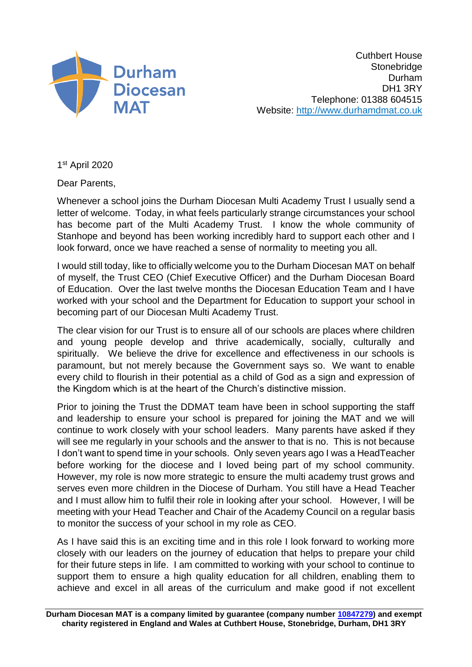

Cuthbert House **Stonebridge** Durham DH1 3RY Telephone: 01388 604515 Website: http://www.durhamdmat.co.uk

1 st April 2020

Dear Parents,

Whenever a school joins the Durham Diocesan Multi Academy Trust I usually send a letter of welcome. Today, in what feels particularly strange circumstances your school has become part of the Multi Academy Trust. I know the whole community of Stanhope and beyond has been working incredibly hard to support each other and I look forward, once we have reached a sense of normality to meeting you all.

I would still today, like to officially welcome you to the Durham Diocesan MAT on behalf of myself, the Trust CEO (Chief Executive Officer) and the Durham Diocesan Board of Education. Over the last twelve months the Diocesan Education Team and I have worked with your school and the Department for Education to support your school in becoming part of our Diocesan Multi Academy Trust.

The clear vision for our Trust is to ensure all of our schools are places where children and young people develop and thrive academically, socially, culturally and spiritually. We believe the drive for excellence and effectiveness in our schools is paramount, but not merely because the Government says so. We want to enable every child to flourish in their potential as a child of God as a sign and expression of the Kingdom which is at the heart of the Church's distinctive mission.

Prior to joining the Trust the DDMAT team have been in school supporting the staff and leadership to ensure your school is prepared for joining the MAT and we will continue to work closely with your school leaders. Many parents have asked if they will see me regularly in your schools and the answer to that is no. This is not because I don't want to spend time in your schools. Only seven years ago I was a HeadTeacher before working for the diocese and I loved being part of my school community. However, my role is now more strategic to ensure the multi academy trust grows and serves even more children in the Diocese of Durham. You still have a Head Teacher and I must allow him to fulfil their role in looking after your school. However, I will be meeting with your Head Teacher and Chair of the Academy Council on a regular basis to monitor the success of your school in my role as CEO.

As I have said this is an exciting time and in this role I look forward to working more closely with our leaders on the journey of education that helps to prepare your child for their future steps in life. I am committed to working with your school to continue to support them to ensure a high quality education for all children, enabling them to achieve and excel in all areas of the curriculum and make good if not excellent